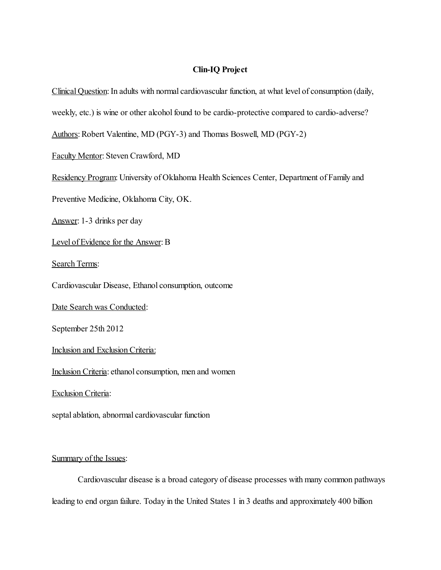## Clin-IQ Project

Clinical Question: In adults with normal cardiovascular function, at what level of consumption (daily, weekly, etc.) is wine or other alcohol found to be cardio-protective compared to cardio-adverse? Authors: Robert Valentine, MD (PGY-3) and Thomas Boswell, MD (PGY-2) Faculty Mentor: Steven Crawford, MD Residency Program: University of Oklahoma Health Sciences Center, Department of Family and Preventive Medicine, Oklahoma City, OK. Answer: 1-3 drinks per day Level of Evidence for the Answer: B Search Terms: Cardiovascular Disease, Ethanol consumption, outcome Date Search was Conducted: September 25th 2012 Inclusion and Exclusion Criteria: Inclusion Criteria: ethanol consumption, men and women **Exclusion Criteria:** septal ablation, abnormal cardiovascular function

# Summary of the Issues:

Cardiovascular disease is a broad category of disease processes with many common pathways leading to end organ failure. Today in the United States 1 in 3 deaths and approximately 400 billion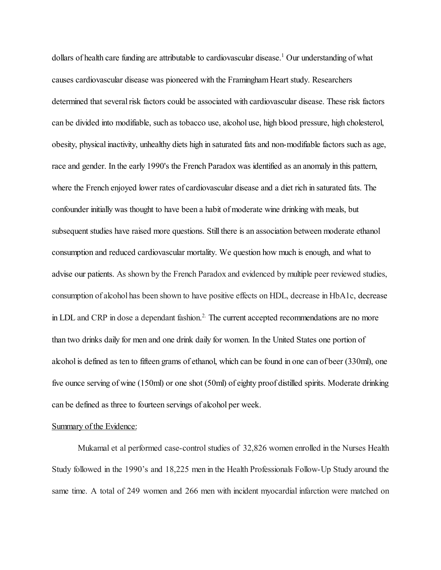dollars of health care funding are attributable to cardiovascular disease. <sup>1</sup> Our understanding of what causes cardiovascular disease was pioneered with the Framingham Heart study. Researchers determined that several risk factors could be associated with cardiovascular disease. These risk factors can be divided into modifiable, such as tobacco use, alcohol use, high blood pressure, high cholesterol, obesity, physical inactivity, unhealthy diets high in saturated fats and non-modifiable factors such as age, race and gender. In the early 1990's the French Paradox was identified as an anomaly in this pattern, where the French enjoyed lower rates of cardiovascular disease and a diet rich in saturated fats. The confounder initially was thought to have been a habit of moderate wine drinking with meals, but subsequent studies have raised more questions. Still there is an association between moderate ethanol consumption and reduced cardiovascular mortality. We question how much is enough, and what to advise our patients. As shown by the French Paradox and evidenced by multiple peer reviewed studies, consumption of alcohol has been shown to have positive effects on HDL, decrease in HbA1c, decrease in LDL and CRP in dose a dependant fashion.<sup>2.</sup> The current accepted recommendations are no more than two drinks daily for men and one drink daily for women. In the United States one portion of alcohol is defined as ten to fifteen grams of ethanol, which can be found in one can of beer (330ml), one five ounce serving of wine (150ml) or one shot (50ml) of eighty proof distilled spirits. Moderate drinking can be defined as three to fourteen servings of alcohol per week.

### Summary of the Evidence:

Mukamal et al performed case-control studies of 32,826 women enrolled in the Nurses Health Study followed in the 1990's and 18,225 men in the Health Professionals Follow-Up Study around the same time. A total of 249 women and 266 men with incident myocardial infarction were matched on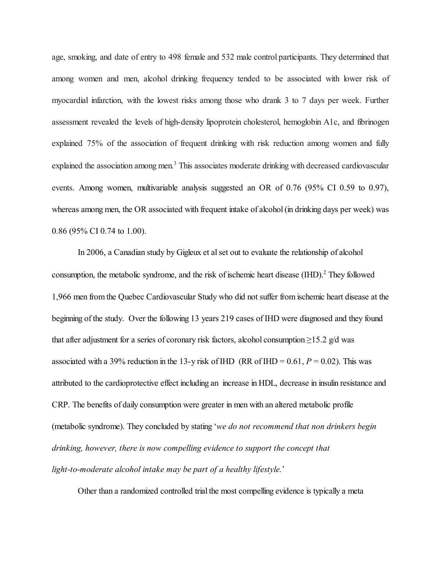age, smoking, and date of entry to 498 female and 532 male control participants. They determined that among women and men, alcohol drinking frequency tended to be associated with lower risk of myocardial infarction, with the lowest risks among those who drank 3 to 7 days per week. Further assessment revealed the levels of high-density lipoprotein cholesterol, hemoglobin A1c, and fibrinogen explained 75% of the association of frequent drinking with risk reduction among women and fully explained the association among men.<sup>3</sup> This associates moderate drinking with decreased cardiovascular events. Among women, multivariable analysis suggested an OR of 0.76 (95% CI 0.59 to 0.97), whereas among men, the OR associated with frequent intake of alcohol (in drinking days per week) was 0.86 (95% CI 0.74 to 1.00).

In 2006, a Canadian study by Gigleux et al set out to evaluate the relationship of alcohol consumption, the metabolic syndrome, and the risk of ischemic heart disease (IHD). <sup>2</sup> They followed 1,966 men from the Quebec Cardiovascular Study who did not suffer from ischemic heart disease at the beginning of the study. Over the following 13 years 219 cases of IHD were diagnosed and they found that after adjustment for a series of coronary risk factors, alcohol consumption  $\geq 15.2$  g/d was associated with a 39% reduction in the 13-y risk of IHD (RR of IHD =  $0.61$ ,  $P = 0.02$ ). This was attributed to the cardioprotective effect including an increase in HDL, decrease in insulin resistance and CRP. The benefits of daily consumption were greater in men with an altered metabolic profile (metabolic syndrome). They concluded by stating '*we do not recommend that non drinkers begin drinking, however, there is now compelling evidence to support the concept that light-to-moderate alcohol intake may be part of a healthy lifestyle.*'

Other than a randomized controlled trial the most compelling evidence is typically a meta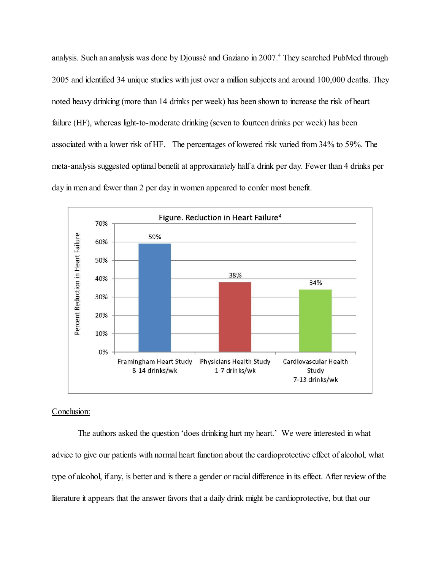analysis. Such an analysis was done by Djoussé and Gaziano in 2007. <sup>4</sup> They searched PubMed through 2005 and identified 34 unique studies with just over a million subjects and around 100,000 deaths. They noted heavy drinking (more than 14 drinks per week) has been shown to increase the risk of heart failure (HF), whereas light-to-moderate drinking (seven to fourteen drinks per week) has been associated with a lower risk of HF. The percentages of lowered risk varied from 34% to 59%. The meta-analysis suggested optimal benefit at approximately half a drink per day. Fewer than 4 drinks per day in men and fewer than 2 per day in women appeared to confer most benefit.



# Conclusion:

The authors asked the question 'does drinking hurt my heart.' We were interested in what advice to give our patients with normal heart function about the cardioprotective effect of alcohol, what type of alcohol, if any, is better and is there a gender or racial difference in its effect. After review of the literature it appears that the answer favors that a daily drink might be cardioprotective, but that our